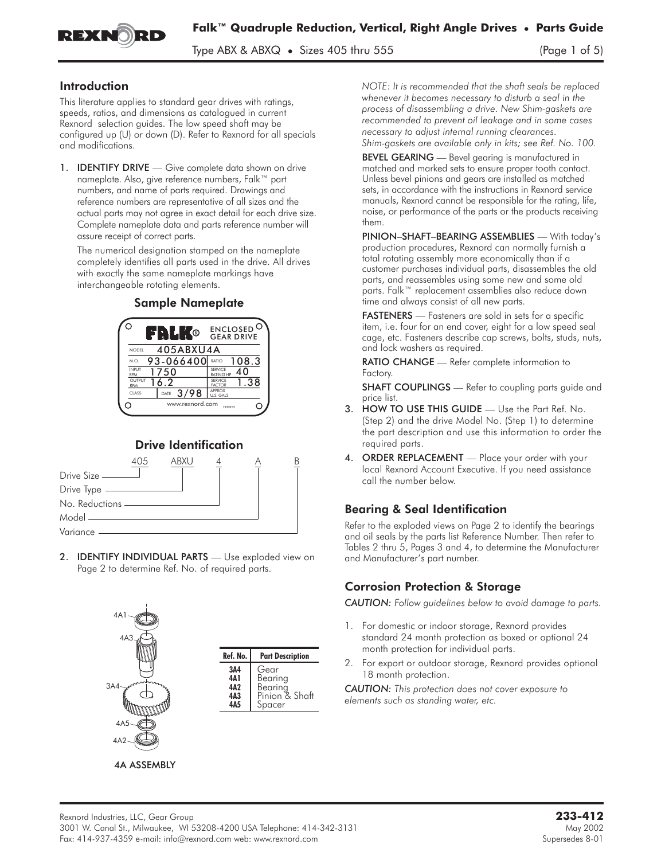

Type ABX  $\&$  ABX $\&$  • Sizes 405 thru 555 (Page 1 of 5)

#### Introduction

This literature applies to standard gear drives with ratings, speeds, ratios, and dimensions as catalogued in current Rexnord selection guides. The low speed shaft may be configured up (U) or down (D). Refer to Rexnord for all specials and modifications.

1. **IDENTIFY DRIVE** — Give complete data shown on drive nameplate. Also, give reference numbers, Falk™ part numbers, and name of parts required. Drawings and reference numbers are representative of all sizes and the actual parts may not agree in exact detail for each drive size. Complete nameplate data and parts reference number will assure receipt of correct parts.

The numerical designation stamped on the nameplate completely identifies all parts used in the drive. All drives with exactly the same nameplate markings have interchangeable rotating elements.

#### Sample Nameplate



### Drive Identification



2. **IDENTIFY INDIVIDUAL PARTS** - Use exploded view on Page 2 to determine Ref. No. of required parts.



*NOTE: It is recommended that the shaft seals be replaced whenever it becomes necessary to disturb a seal in the process of disassembling a drive. New Shim-gaskets are recommended to prevent oil leakage and in some cases necessary to adjust internal running clearances. Shim-gaskets are available only in kits; see Ref. No. 100.*

BEVEL GEARING - Bevel gearing is manufactured in matched and marked sets to ensure proper tooth contact. Unless bevel pinions and gears are installed as matched sets, in accordance with the instructions in Rexnord service manuals, Rexnord cannot be responsible for the rating, life, noise, or performance of the parts or the products receiving them.

PINION–SHAFT–BEARING ASSEMBLIES — With today's production procedures, Rexnord can normally furnish a total rotating assembly more economically than if a customer purchases individual parts, disassembles the old parts, and reassembles using some new and some old parts. Falk™ replacement assemblies also reduce down time and always consist of all new parts.

FASTENERS - Fasteners are sold in sets for a specific item, i.e. four for an end cover, eight for a low speed seal cage, etc. Fasteners describe cap screws, bolts, studs, nuts, and lock washers as required.

RATIO CHANGE — Refer complete information to Factory.

**SHAFT COUPLINGS** — Refer to coupling parts guide and price list.

- 3. HOW TO USE THIS GUIDE Use the Part Ref. No. (Step 2) and the drive Model No. (Step 1) to determine the part description and use this information to order the required parts.
- 4. ORDER REPLACEMENT Place your order with your local Rexnord Account Executive. If you need assistance call the number below.

### Bearing & Seal Identification

Refer to the exploded views on Page 2 to identify the bearings and oil seals by the parts list Reference Number. Then refer to Tables 2 thru 5, Pages 3 and 4, to determine the Manufacturer and Manufacturer's part number.

### Corrosion Protection & Storage

*CAUTION: Follow guidelines below to avoid damage to parts.*

- 1. For domestic or indoor storage, Rexnord provides standard 24 month protection as boxed or optional 24 month protection for individual parts.
- 2. For export or outdoor storage, Rexnord provides optional 18 month protection.

*CAUTION: This protection does not cover exposure to elements such as standing water, etc.*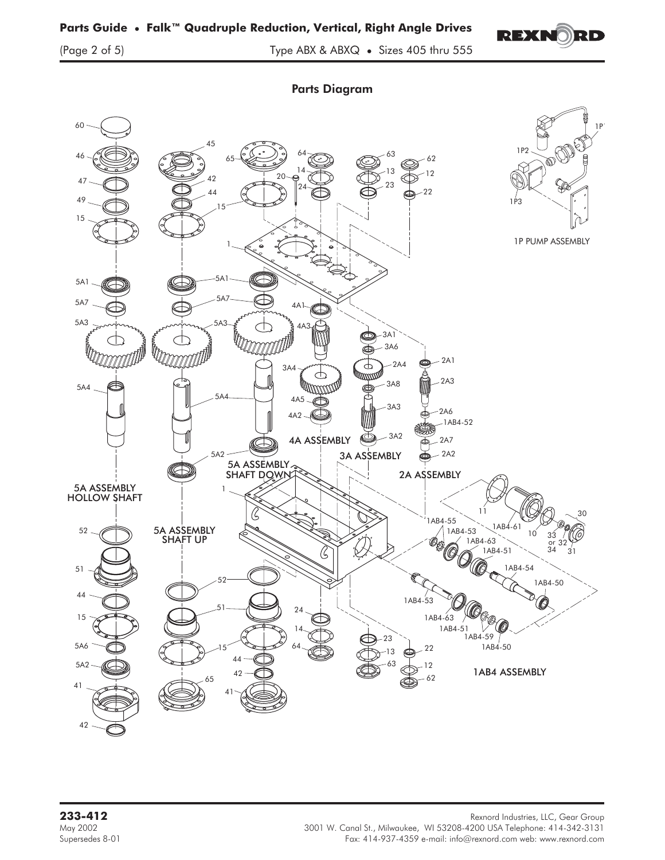

(Page 2 of 5) Type ABX & ABXQ • Sizes 405 thru 555

Parts Diagram



**233-412** Rexnord Industries, LLC, Gear Group<br>May 2002 May 2002 May 2002 May 2002 Rexnord Industries, LLC, Gear Group 3001 W. Canal St., Milwaukee, WI 53208-4200 USA Telephone: 414-342-3131 Supersedes 8-01 Fax: 414-937-4359 e-mail: info@rexnord.com web: www.rexnord.com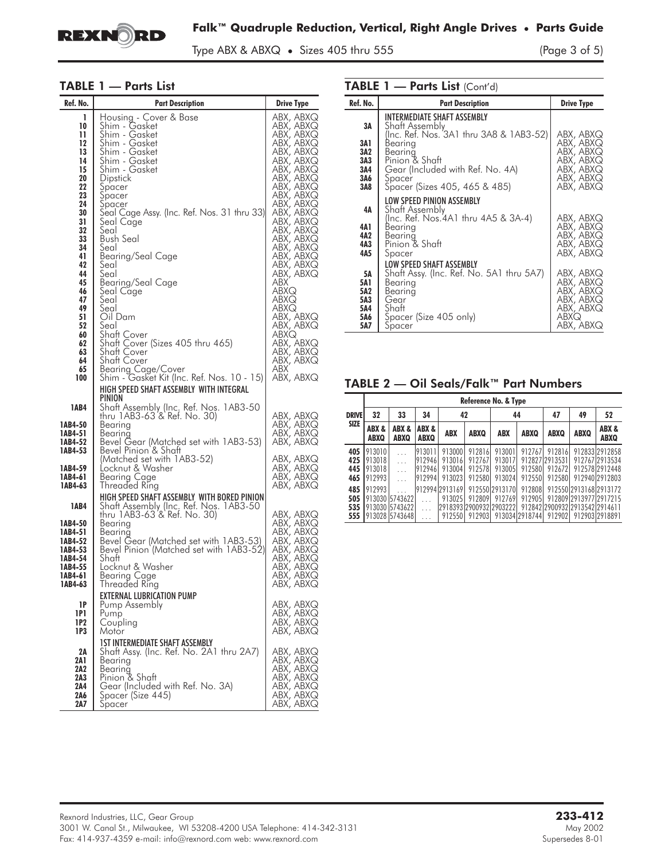

Type ABX & ABXQ • Sizes 405 thru 555 (Page 3 of 5)

L,

#### TABLE 1 — Parts List

| Ref. No.                                                                                                                                    | <b>Part Description</b>                                                                                                                                                                                                                                                                                                                                                   | <b>Drive Type</b>                                                                                                                                                                                                                                                                                      |
|---------------------------------------------------------------------------------------------------------------------------------------------|---------------------------------------------------------------------------------------------------------------------------------------------------------------------------------------------------------------------------------------------------------------------------------------------------------------------------------------------------------------------------|--------------------------------------------------------------------------------------------------------------------------------------------------------------------------------------------------------------------------------------------------------------------------------------------------------|
| ı<br>10<br>11<br>12<br>13<br>14<br>15<br>20<br>22<br>23<br>24<br>30<br>31<br>32<br>33<br>34<br>41<br>42<br>44<br>45<br>46<br>47<br>49<br>51 | Housing - Cover & Base<br>Shim - Gasket<br>Shim - Gasket<br>Shim - Gasket<br>Shim - Gasket<br>Shim - Gasket<br>Šhim - Gasket<br>Dipstick<br>Spacer<br>Spacer<br>Spacer<br>Seal Cage Assy. (Inc. Ref. Nos. 31 thru 33) <br>Seal Cage<br>Seal<br><b>Bush Seal</b><br>Seal<br>Bearing/Seal Cage<br>Seal<br>Seal<br>Bearing/Seal Cage<br>Seal Cage<br>Seal<br>Seal<br>Oil Dam | ABX, ABXQ<br>ABX, ABXQ<br>ABX, ABXQ<br>ABX, ABXQ<br>ABX, ABXQ<br>ABX, ABXQ<br>ABX, ABXQ<br>ABX, ABXQ<br>ABX, ABXQ<br>ABX, ABXQ<br>ABX, ABXQ<br>ABX, ABXQ<br>ABX, ABXQ<br>ABX, ABXQ<br>ABX, ABXQ<br>ABX, ABXQ<br>ABX, ABXQ<br>ABX, ABXQ<br>ABX, ABXQ<br><b>ABX</b><br>ABXQ<br>ABXQ<br>ABXQ<br>ABX, ABXQ |
| 52<br>60<br>62<br>63<br>64<br>65<br>100                                                                                                     | Seal<br>Shaft Cover<br>Shaft Cover (Sizes 405 thru 465)<br>Shaft Cover<br>Shaft Cover<br><b>Bearing Cage/Cover</b><br>Shim - Gasket Kit (Inc. Ref. Nos. 10 - 15)<br>HIGH SPEED SHAFT ASSEMBLY WITH INTEGRAL                                                                                                                                                               | ABX, ABXQ<br>ABXQ<br>ABX, ABXQ<br>ABX, ABXQ<br>ABX, ABXQ<br><b>ABX</b><br>ABX, ABXQ                                                                                                                                                                                                                    |
| <b>1AB4</b><br>1AB4-50<br>1AB4-51<br>1AB4-52<br>1AB4-53                                                                                     | PINION<br>Shaft Assembly (Inc. Ref. Nos. 1AB3-50<br>thru 1AB3-63 & Ref. No. 30)<br>Bearing<br>Bearing<br>Bevel Gear (Matched set with 1AB3-53)<br>Bevel Pinion & Shaft                                                                                                                                                                                                    | ABX, ABXQ<br>ABX, ABXQ<br>ABX, ABXQ<br>ABX, ABXQ                                                                                                                                                                                                                                                       |
| 1AB4-59<br>1AB4-61<br>1AB4-63                                                                                                               | (Matched set with 1AB3-52)<br>Locknut & Washer<br>Bearing Cage<br><b>Inreaded Ring</b><br>HIGH SPEED SHAFT ASSEMBLY WITH BORED PINION                                                                                                                                                                                                                                     | ABX, ABXQ<br>ABX, ABXQ<br>ABX, ABXQ<br>ABX, ABXQ                                                                                                                                                                                                                                                       |
| 1AB4<br>1AB4-50<br>1AB4-51<br>1AB4-52<br>1AB4-53<br>1AB4-54<br>1AB4-55<br>1AB4-61<br>1AB4-63                                                | Shaft Assembly (Inc. Ref. Nos. 1AB3-50<br>thru 1AB3-63'& Ref. No. 30)<br>Bearing<br>Bearing<br>Bevel Gear (Matched set with 1AB3-53)<br>Bevel Pinion (Matched set with 1AB3-52)<br>Shaft<br>Locknut & Washer<br>Bearing Cage<br>Threaded Ring                                                                                                                             | ABX, ABXQ<br>ABX, ABXQ<br>ABX, ABXQ<br>ABX, ABXQ<br>ABX, ABXQ<br>ABX, ABXQ<br>ABX, ABXQ<br>ABX, ABXQ<br>ABX, ABXQ                                                                                                                                                                                      |
| 1P<br>1P1<br>1P2<br>1P3                                                                                                                     | <b>EXTERNAL LUBRICATION PUMP</b><br>Pump Assembly<br>Pump<br>Coupling<br>Motor                                                                                                                                                                                                                                                                                            | ABX, ABXQ<br>ABX, ABXQ<br>ABX, ABXQ<br>ABX, ABXQ                                                                                                                                                                                                                                                       |
| 2A<br>2A 1<br>2A2<br>2A3<br>2A4<br>2A6<br>2A7                                                                                               | <b>1ST INTERMEDIATE SHAFT ASSEMBLY</b><br>Shaft Assy. (Inc. Ref. No. 2A1 thru 2A7)<br>Bearing<br>Bearing<br>Pinion & Shaft<br>Gear (Included with Ref. No. 3A)<br>Spacer (Size 445)<br>Spacer                                                                                                                                                                             | ABX, ABXQ<br>ABX, ABXQ<br>ABX, ABXQ<br>ABX, ABXQ<br>ABX, ABXQ<br>ABX, ABXQ<br>ABX, ABXQ                                                                                                                                                                                                                |

TABLE 1 — Parts List (Cont'd)

| Ref. No.                                      | <b>Part Description</b>                                                                                                                                                                                         | <b>Drive Type</b>                                                                       |
|-----------------------------------------------|-----------------------------------------------------------------------------------------------------------------------------------------------------------------------------------------------------------------|-----------------------------------------------------------------------------------------|
| 3Α<br>3A 1<br>3A2<br>3A3<br>3A4<br>3A6<br>3A8 | INTERMEDIATE SHAFT ASSEMBLY<br>Shaft Assembly<br>(Inc. Ref. Nos. 3A1 thru 3A8 & 1AB3-52)<br>Bearing<br>Bearina<br>Pinion & Shaft<br>Gear (Included with Ref. No. 4A)<br>Spacer<br>Spacer (Sizes 405, 465 & 485) | ABX, ABXQ<br>ABX, ABXQ<br>ABX, ABXQ<br>ABX, ABXQ<br>ABX, ABXQ<br>ABX, ABXQ<br>ABX, ABXQ |
| 4А<br>4A 1<br>4A2<br>4A3<br>4A5               | LOW SPEED PINION ASSEMBLY<br>Shaft Assembly<br>(Inc. Ref. Nos.4A1 thru 4A5 & 3A-4)<br>Bearina<br>Bearing<br>Pinion & Shaft<br>Spacer                                                                            | ABX, ABXQ<br>ABX, ABXQ<br>ABX, ABXQ<br>ABX, ABXQ<br>ABX, ABXQ                           |
| 5Α<br>5A1<br>5A2<br>5A3<br>5A4<br>5A6<br>5A7  | LOW SPEED SHAFT ASSEMBLY<br>Shaft Assy. (Inc. Ref. No. 5A1 thru 5A7)<br>Bearing<br>Bearing<br>Gear<br>Shaft<br>Spacer (Size 405 only)<br>Spacer                                                                 | ABX, ABXQ<br>ABX, ABXQ<br>ABX, ABXQ<br>ABX, ABXQ<br>ABX, ABXQ<br>ABXQ<br>ABX, ABXQ      |

TABLE 2 — Oil Seals/Falk™ Part Numbers

|                          |                                         | Reference No. & Type                                |                                      |                                                               |                                      |                                      |                                    |                                              |                                                                                    |                                                                      |  |  |  |
|--------------------------|-----------------------------------------|-----------------------------------------------------|--------------------------------------|---------------------------------------------------------------|--------------------------------------|--------------------------------------|------------------------------------|----------------------------------------------|------------------------------------------------------------------------------------|----------------------------------------------------------------------|--|--|--|
| <b>DRIVE</b>             | 32<br>33<br>34                          |                                                     |                                      | 42                                                            |                                      | 44                                   |                                    | 47                                           | 49                                                                                 | 52                                                                   |  |  |  |
| <b>SIZE</b>              | ABX &<br>ABXQ                           | ABX &<br>ABXQ                                       | ABX &<br><b>ABXQ</b>                 | <b>ABX</b>                                                    | <b>ABXQ</b>                          | ABX                                  | <b>ABXQ</b>                        | <b>ABXQ</b>                                  | <b>ABXQ</b>                                                                        | ABX &<br><b>ABXQ</b>                                                 |  |  |  |
| 405<br>425<br>445<br>465 | 913010<br>1913018<br>1913018<br>1912993 | .<br>.<br>.<br>.                                    | 913011<br>912946<br>912946<br>912994 | 913000<br>913016<br>913004<br>913023                          | 912816<br>912767<br>912578<br>912580 | 913001<br>913017<br>913005<br>913024 | 912767<br>912580<br>912550         | 912816<br>912827 2913531<br>912672<br>912580 |                                                                                    | 912833 2912858<br>912767 2913534<br>912578 2912448<br>912940 2912803 |  |  |  |
| 485<br>505<br>535<br>555 | 912993                                  | 913030 5743622<br>1913030 5743622<br>913028 5743648 | .                                    | 912994 2913169<br>913025<br>2918393 2900932 2903222<br>912550 | 912809<br>912903                     | 912550 2913170<br>912769             | 912808<br>912905<br>913034 2918744 | 912902                                       | 912550 2913168 2913172<br>912809 2913977 2917215<br>912842 2900932 2913542 2914611 | 91290312918891                                                       |  |  |  |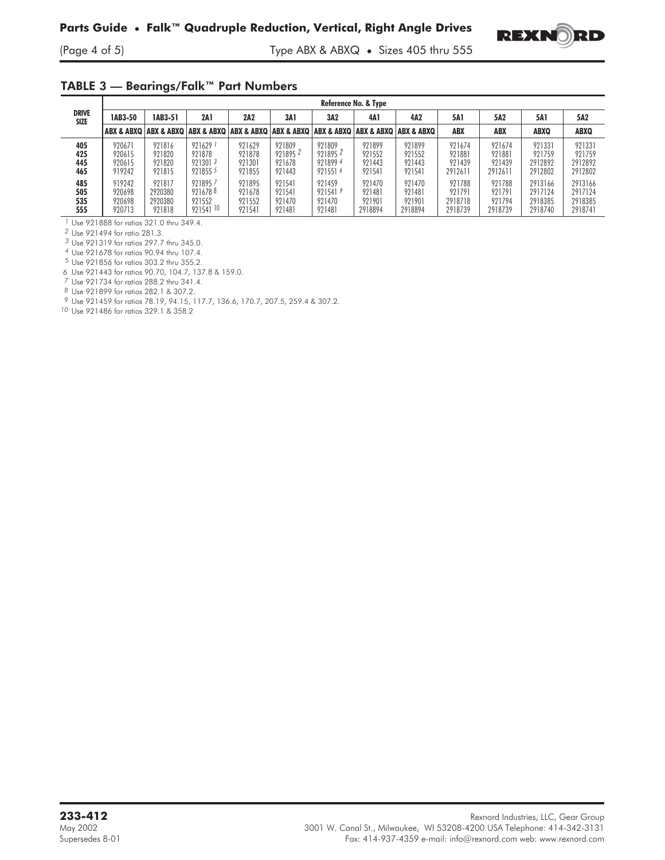

## TABLE 3 — Bearings/Falk™ Part Numbers

|                             |                                      | Reference No. & Type                   |                                                                                                       |                                      |                                       |                                         |                                       |                                       |                                        |                                       |                                          |                                          |
|-----------------------------|--------------------------------------|----------------------------------------|-------------------------------------------------------------------------------------------------------|--------------------------------------|---------------------------------------|-----------------------------------------|---------------------------------------|---------------------------------------|----------------------------------------|---------------------------------------|------------------------------------------|------------------------------------------|
| <b>DRIVE</b><br><b>SIZE</b> | 1AB3-50                              | 1AB3-51                                | <b>2A1</b>                                                                                            | 2A2                                  | 3A 1                                  | 3A2                                     | 4A1                                   | 4A <sub>2</sub>                       | 5A1                                    | 5A2                                   | 5A1                                      | 5A2                                      |
|                             |                                      |                                        | ABX & ABXQ   ABX & ABXQ   ABX & ABXQ   ABX & ABXQ   ABX & ABXQ   ABX & ABXQ   ABX & ABXQ   ABX & ABXQ |                                      |                                       |                                         |                                       |                                       | <b>ABX</b>                             | <b>ABX</b>                            | <b>ABXQ</b>                              | <b>ABXQ</b>                              |
| 405<br>425<br>445<br>465    | 920671<br>920615<br>920615<br>919242 | 921816<br>921820<br>921820<br>921815   | 9216291<br>921878<br>9213013<br>9218555                                                               | 921629<br>921878<br>921301<br>921855 | 921809<br>9218952<br>921678<br>921443 | 921809<br>9218952<br>9218994<br>9215516 | 921899<br>921552<br>921443<br>921541  | 921899<br>921552<br>921443<br>921541  | 921674<br>921881<br>921439<br>2912611  | 921674<br>921881<br>921439<br>2912611 | 921331<br>921759<br>2912892<br>2912802   | 921331<br>921759<br>2912892<br>2912802   |
| 485<br>505<br>535<br>555    | 919242<br>920698<br>920698<br>920713 | 921817<br>2920380<br>2920380<br>921818 | 9218957<br>9216788<br>921552<br>921541 10                                                             | 921895<br>921678<br>921552<br>921541 | 921541<br>921541<br>921470<br>921481  | 921459<br>9215419<br>921470<br>921481   | 921470<br>921481<br>921901<br>2918894 | 921470<br>921481<br>921901<br>2918894 | 921788<br>921791<br>2918718<br>2918739 | 921788<br>921791<br>921794<br>2918739 | 2913166<br>2917124<br>2918385<br>2918740 | 2913166<br>2917124<br>2918385<br>2918741 |

*1* Use 921888 for ratios 321.0 thru 349.4.

*2* Use 921494 for ratio 281.3.

*3* Use 921319 for ratios 297.7 thru 345.0.

*4* Use 921678 for ratios 90.94 thru 107.4.

*5* Use 921856 for ratios 303.2 thru 355.2.

6 Use 921443 for ratios 90.70, 104.7, 137.8 & 159.0.

*7* Use 921734 for ratios 288.2 thru 341.4.

*8* Use 921899 for ratios 282.1 & 307.2.

*9* Use 921459 for ratios 78.19, 94.15, 117.7, 136.6, 170.7, 207.5, 259.4 & 307.2.

*10* Use 921486 for ratios 329.1 & 358.2